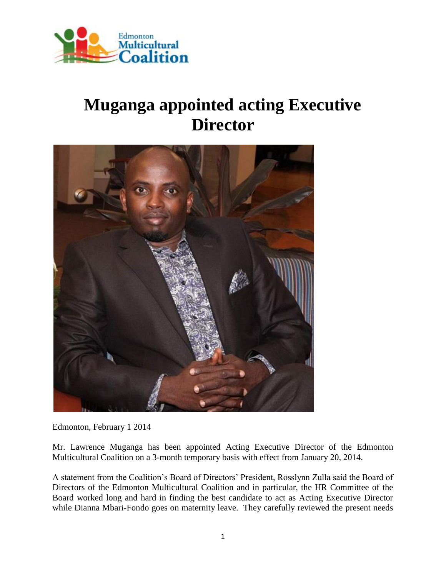

## **Muganga appointed acting Executive Director**



Edmonton, February 1 2014

Mr. Lawrence Muganga has been appointed Acting Executive Director of the Edmonton Multicultural Coalition on a 3-month temporary basis with effect from January 20, 2014.

A statement from the Coalition's Board of Directors' President, Rosslynn Zulla said the Board of Directors of the Edmonton Multicultural Coalition and in particular, the HR Committee of the Board worked long and hard in finding the best candidate to act as Acting Executive Director while Dianna Mbari-Fondo goes on maternity leave. They carefully reviewed the present needs